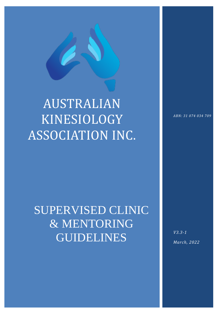# AUSTRALIAN KINESIOLOGY ASSOCIATION INC.

## SUPERVISED CLINIC & MENTORING GUIDELINES

 $\mathcal{T}_{\mathcal{M}}$  (type text)  $\mathcal{T}_{\mathcal{M}}$  (type text)  $\mathcal{T}_{\mathcal{M}}$  (type text)  $\mathcal{T}_{\mathcal{M}}$  (type text)  $\mathcal{T}_{\mathcal{M}}$ 

*ABN: 31 074 034 709*

*V3.3-1 March, 2022*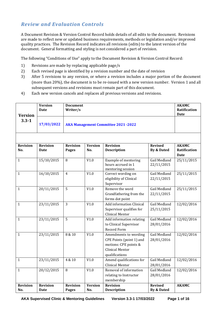## *Review and Evaluation Controls*

A Document Revision & Version Control Record holds details of all edits to the document. Revisions are made to reflect new or updated business requirements, methods or legislation and/or improved quality practices. The Revision Record indicates all revisions (edits) to the latest version of the document. General formatting and styling is not considered a part of revision.

The following "Conditions of Use" apply to the Document Revision & Version Control Record:

- 1) Revisions are made by replacing applicable page/s
- 2) Each revised page is identified by a revision number and the date of revision
- 3) After 5 revisions to any version, or where a revision includes a major portion of the document (more than 20%), the document is to be re-issued with a new version number. Version 1 and all subsequent versions and revisions must remain part of this document.
- 4) Each new version cancels and replaces all previous versions and revisions.

| <b>Version</b>         | <b>Version</b><br><b>Date</b>  | <b>Document</b><br>Writer/s               |                       |                                                                                                                        |                                         | <b>AKAMC</b><br>Ratification<br>Date |
|------------------------|--------------------------------|-------------------------------------------|-----------------------|------------------------------------------------------------------------------------------------------------------------|-----------------------------------------|--------------------------------------|
| $3.3 - 1$              | 17/03/2022                     | <b>AKA Management Committee 2021-2022</b> |                       |                                                                                                                        |                                         |                                      |
|                        |                                |                                           |                       |                                                                                                                        |                                         |                                      |
| <b>Revision</b><br>No. | <b>Revision</b><br><b>Date</b> | <b>Revision</b><br><b>Pages</b>           | <b>Version</b><br>No. | <b>Revision</b><br><b>Description</b>                                                                                  | <b>Revised</b><br><b>By &amp; Dated</b> | <b>AKAMC</b><br>Ratification<br>Date |
| $\mathbf{1}$           | 15/10/2015                     | 8                                         | V1.0                  | Example of mentoring<br>hours accrued in 1<br>mentoring session                                                        | <b>Gail Medland</b><br>22/11/2015       | 25/11/2015                           |
| $\mathbf{1}$           | 16/10/2015                     | $\overline{4}$                            | V1.0                  | Correct wording on<br>eligibility of Clinical<br>Supervisor                                                            | <b>Gail Medland</b><br>22/11/2015       | 25/11/2015                           |
| $\mathbf{1}$           | 20/11/2015                     | 5                                         | V1.0                  | Remove the word<br>Grandfathering from the<br>forms dot point                                                          | <b>Gail Medland</b><br>22/11/2015       | 25/11/2015                           |
| $\mathbf{1}$           | 23/11/2015                     | $\overline{3}$                            | V1.0                  | <b>Add information Clinical</b><br>Supervisor qualifies for<br><b>Clinical Mentor</b>                                  | <b>Gail Medland</b><br>25/11/2015       | 12/02/2016                           |
| $\mathbf{1}$           | 23/11/2015                     | 5                                         | V1.0                  | Add information relating<br>to Clinical Supervisor<br><b>Record Form</b>                                               | Gail Medland<br>28/01/2016              | 12/02/2016                           |
| $\mathbf{1}$           | 23/11/2015                     | 8 & 10                                    | V1.0                  | Amendments to wording<br>CPE Points (point 1) and<br>motions: CPE points &<br><b>Clinical Mentor</b><br>qualifications | Gail Medland<br>28/01/2016              | 12/02/2016                           |
| $\mathbf{1}$           | 23/11/2015                     | 4 & 10                                    | V1.0                  | Amend qualifications for<br><b>Clinical Mentor</b>                                                                     | Gail Medland<br>28/01/2016              | 12/02/2016                           |
| $\mathbf{1}$           | 20/12/2015                     | 8                                         | V1.0                  | Removal of information<br>relating to Instructor<br>membership                                                         | Gail Medland<br>28/01/2016              | 12/02/2016                           |
| <b>Revision</b><br>No. | <b>Revision</b><br>Date        | <b>Revision</b><br><b>Pages</b>           | <b>Version</b><br>No. | <b>Revision</b><br><b>Description</b>                                                                                  | <b>Revised</b><br>By & Dated            | <b>AKAMC</b>                         |

**AKA Supervised Clinic & Mentoring Guidelines Version 3.3-1 17/03/2022 Page 1 of 16**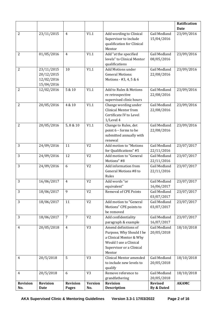|                 |                 |                 |                 |                                                     |                            | Ratification |
|-----------------|-----------------|-----------------|-----------------|-----------------------------------------------------|----------------------------|--------------|
|                 |                 |                 |                 |                                                     |                            | <b>Date</b>  |
| $\overline{2}$  | 23/11/2015      | $\overline{4}$  | V1.1            | Add wording to Clinical                             | Gail Medland               | 23/09/2016   |
|                 |                 |                 |                 | Supervisor to include<br>qualification for Clinical | 15/04/2016                 |              |
|                 |                 |                 |                 | Mentor                                              |                            |              |
| $\overline{2}$  | 01/05/2016      | $\overline{4}$  | V1.1            | Add "at the specified                               | Gail Medland               | 23/09/2016   |
|                 |                 |                 |                 | levels" to Clinical Mentor                          | 08/05/2016                 |              |
|                 |                 |                 |                 | qualifications                                      |                            |              |
| $\overline{2}$  | 23/11/2015      | 10              | V1.1            | Add Motions under                                   | Gail Medland               | 23/09/2016   |
|                 | 20/12/2015      |                 |                 | <b>General Motions:</b>                             | 22/08/2016                 |              |
|                 | 12/02/2016      |                 |                 | Motions - #3, 4, 5 & 6                              |                            |              |
|                 | 15/04/2016      |                 |                 |                                                     |                            |              |
| $\overline{2}$  | 12/02/2016      | 5 & 10          | V1.1            | Add to Rules & Motions                              | Gail Medland               | 23/09/2016   |
|                 |                 |                 |                 | re retrospective                                    | 22/08/2016                 |              |
| $\overline{2}$  | 20/05/2016      | 4 & 10          | V1.1            | supervised clinic hours<br>Change wording under     | Gail Medland               | 23/09/2016   |
|                 |                 |                 |                 | <b>Clinical Mentor from</b>                         | 22/08/2016                 |              |
|                 |                 |                 |                 | Certificate IV to Level                             |                            |              |
|                 |                 |                 |                 | $1/$ Level 4                                        |                            |              |
| 2               | 20/05/2016      | 5,8 & 10        | V1.1            | Change to Rules, dot                                | Gail Medland               | 23/09/2016   |
|                 |                 |                 |                 | point 6 - forms to be                               | 22/08/2016                 |              |
|                 |                 |                 |                 | submitted annually with                             |                            |              |
|                 |                 |                 |                 | renewal                                             |                            |              |
| 3               | 24/09/2016      | 11              | V <sub>2</sub>  | Add motion to "Motions                              | Gail Medland               | 23/07/2017   |
|                 |                 |                 |                 | for Qualifications" #5                              | 22/11/2016                 |              |
| 3               | 24/09/2016      | 12              | V <sub>2</sub>  | Add motion to "General<br>Motions" #8               | Gail Medland               | 23/07/2017   |
| 3               | 24/09/2016      | 6               | V <sub>2</sub>  | Add information from                                | 22/11/2016<br>Gail Medland | 23/07/2017   |
|                 |                 |                 |                 | General Motions #8 to                               | 22/11/2016                 |              |
|                 |                 |                 |                 | Rules                                               |                            |              |
| 3               | 16/06/2017      | $\overline{4}$  | V <sub>2</sub>  | Add words "or                                       | Gail Medland               | 23/07/2017   |
|                 |                 |                 |                 | equivalent"                                         | 16/06/2017                 |              |
| 3               | 18/06/2017      | 9               | V <sub>2</sub>  | <b>Removal of CPE Points</b>                        | Gail Medland               | 23/07/2017   |
|                 |                 |                 |                 |                                                     | 03/07/2017                 |              |
| 3               | 18/06/2017      | 11              | V <sub>2</sub>  | Add motion to "General                              | Gail Medland               | 23/07/2017   |
|                 |                 |                 |                 | Motions" CPE points to<br>be removed                | 03/07/2017                 |              |
| 3               | 18/06/2017      | $\overline{7}$  | V <sub>2</sub>  | Add confidentiality                                 | Gail Medland               | 23/07/2017   |
|                 |                 |                 |                 | paragraph & example                                 | 16/07/2017                 |              |
| $\overline{4}$  | 20/05/2018      | $\overline{4}$  | $\overline{V3}$ | Amend definitions of                                | Gail Medland               | 18/10/2018   |
|                 |                 |                 |                 | Purpose, Why Should I be                            | 20/05/2018                 |              |
|                 |                 |                 |                 | a Clinical Mentor & Why                             |                            |              |
|                 |                 |                 |                 | Would I use a Clinical                              |                            |              |
|                 |                 |                 |                 | Supervisor or a Clinical                            |                            |              |
|                 |                 |                 |                 | Mentor                                              |                            |              |
| $\overline{4}$  | 20/5/2018       | 5               | V <sub>3</sub>  | Clinical Mentor amended                             | Gail Medland               | 18/10/2018   |
|                 |                 |                 |                 | to include new levels to                            | 20/05/2018                 |              |
| $\overline{4}$  | 20/5/2018       | 6               | V <sub>3</sub>  | qualify<br>Remove reference to                      | Gail Medland               | 18/10/2018   |
|                 |                 |                 |                 | grandfathering                                      | 20/05/2018                 |              |
| <b>Revision</b> | <b>Revision</b> | <b>Revision</b> | <b>Version</b>  | <b>Revision</b>                                     | <b>Revised</b>             | <b>AKAMC</b> |
| No.             | <b>Date</b>     | <b>Pages</b>    | No.             | <b>Description</b>                                  | By & Dated                 |              |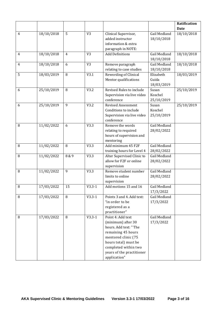|                |            |                |                |                            |              | Ratification |
|----------------|------------|----------------|----------------|----------------------------|--------------|--------------|
|                |            |                |                |                            |              | <b>Date</b>  |
| $\overline{4}$ | 18/10/2018 | 5              | V <sub>3</sub> | Clinical Supervisor,       | Gail Medland | 18/10/2018   |
|                |            |                |                | added instructor           | 18/10/2018   |              |
|                |            |                |                | information & extra        |              |              |
|                |            |                |                | paragraph in NOTE:         |              |              |
| $\overline{4}$ | 18/10/2018 | $\overline{4}$ | V <sub>3</sub> | <b>Add Definitions</b>     | Gail Medland | 18/10/2018   |
|                |            |                |                |                            | 18/10/2018   |              |
| 4              | 18/10/2018 | 6              | V <sub>3</sub> | Remove paragraph           | Gail Medland | 18/10/2018   |
|                |            |                |                | relating to case studies   | 18/10/2018   |              |
| 5              | 18/03/2019 | 8              | V3.1           | Rewording of Clinical      | Elizabeth    | 18/03/2019   |
|                |            |                |                | Mentor qualifications      | Guida        |              |
|                |            |                |                |                            | 18/03/2019   |              |
| 6              | 25/10/2019 | 8              | V3.2           | Revised Rules to include   | Susan        | 25/10/2019   |
|                |            |                |                | Supervision via live video | Koschel      |              |
|                |            |                |                | conference                 | 25/10/2019   |              |
| 6              | 25/10/2019 | 9              | V3.2           | <b>Revised Assessment</b>  | Susan        | 25/10/2019   |
|                |            |                |                | Conditions to include      | Koschel      |              |
|                |            |                |                | Supervision via live video | 25/10/2019   |              |
|                |            |                |                | conference                 |              |              |
| 8              | 11/02/2022 | 6              | V3.3           | Remove the words           | Gail Medland |              |
|                |            |                |                | relating to required       | 28/02/2022   |              |
|                |            |                |                | hours of supervision and   |              |              |
|                |            |                |                | mentoring                  |              |              |
| 8              | 11/02/2022 | 8              | V3.3           | Add minimum 45 F2F         | Gail Medland |              |
|                |            |                |                | training hours for Level 4 | 28/02/2022   |              |
| 8              | 11/02/2022 | 8 & 9          | V3.3           | Alter Supervised Clinic to | Gail Medland |              |
|                |            |                |                | allow for F2F or online    | 28/02/2022   |              |
|                |            |                |                | supervision                |              |              |
| 8              | 11/02/2022 | 9              | V3.3           | Remove student number      | Gail Medland |              |
|                |            |                |                | limits to online           | 28/02/2022   |              |
|                |            |                |                | supervision                |              |              |
| 8              | 17/03/2022 | 15             | $V3.3 - 1$     | Add motions 15 and 16      | Gail Medland |              |
|                |            |                |                |                            | 17/3/2022    |              |
| 8              | 17/03/2022 | 8              | $V3.3-1$       | Points 3 and 4. Add text:  | Gail Medland |              |
|                |            |                |                | "in order to be            | 17/3/2022    |              |
|                |            |                |                | registered as a            |              |              |
|                |            |                |                | practitioner"              |              |              |
| 8              | 17/03/2022 | 8              | $V3.3-1$       | Point 4: Add text          | Gail Medland |              |
|                |            |                |                | (minimum) after 30         | 17/3/2022    |              |
|                |            |                |                | hours. Add text: "The      |              |              |
|                |            |                |                | remaining 45 hours         |              |              |
|                |            |                |                | mentored clinic (75        |              |              |
|                |            |                |                | hours total) must be       |              |              |
|                |            |                |                | completed within two       |              |              |
|                |            |                |                | years of the practitioner  |              |              |
|                |            |                |                | application"               |              |              |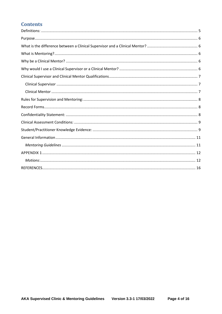## **Contents**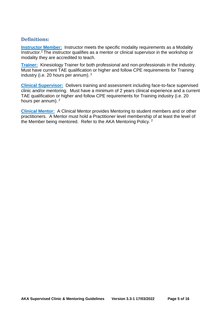## <span id="page-5-0"></span>**Definitions:**

**Instructor Member:** Instructor meets the specific modality requirements as a Modality Instructor.<sup>2</sup> The instructor qualifies as a mentor or clinical supervisor in the workshop or modality they are accredited to teach.

**Trainer:** Kinesiology Trainer for both professional and non-professionals in the industry. Must have current TAE qualification or higher and follow CPE requirements for Training industry (i.e. 20 hours per annum). <sup>2</sup>

**Clinical Supervisor:** Delivers training and assessment including face-to-face supervised clinic and/or mentoring. Must have a minimum of 2 years clinical experience and a current TAE qualification or higher and follow CPE requirements for Training industry (i.e. 20 hours per annum). <sup>2</sup>

**Clinical Mentor:** A Clinical Mentor provides Mentoring to student members and or other practitioners. A Mentor must hold a Practitioner level membership of at least the level of the Member being mentored. Refer to the AKA Mentoring Policy.<sup>2</sup>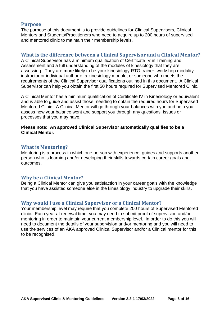## <span id="page-6-0"></span>**Purpose**

The purpose of this document is to provide guidelines for Clinical Supervisors, Clinical Mentors and Students/Practitioners who need to acquire up to 200 hours of supervised and mentored clinic to maintain their membership levels.

## <span id="page-6-1"></span>**What is the difference between a Clinical Supervisor and a Clinical Mentor?**

A Clinical Supervisor has a minimum qualification of Certificate IV in Training and Assessment and a full understanding of the modules of kinesiology that they are assessing. They are more likely to be your kinesiology RTO trainer, workshop modality instructor or individual author of a kinesiology module, or someone who meets the requirements of the Clinical Supervisor qualifications outlined in this document. A Clinical Supervisor can help you obtain the first 50 hours required for Supervised Mentored Clinic.

A Clinical Mentor has a minimum qualification of Certificate IV in Kinesiology or equivalent and is able to guide and assist those, needing to obtain the required hours for Supervised Mentored Clinic. A Clinical Mentor will go through your balances with you and help you assess how your balance went and support you through any questions, issues or processes that you may have.

#### **Please note: An approved Clinical Supervisor automatically qualifies to be a Clinical Mentor.**

## <span id="page-6-2"></span>**What is Mentoring?**

Mentoring is a process in which one person with experience, guides and supports another person who is learning and/or developing their skills towards certain career goals and outcomes.

## <span id="page-6-3"></span>**Why be a Clinical Mentor?**

<span id="page-6-4"></span>Being a Clinical Mentor can give you satisfaction in your career goals with the knowledge that you have assisted someone else in the kinesiology industry to upgrade their skills.

## **Why would I use a Clinical Supervisor or a Clinical Mentor?**

Your membership level may require that you complete 200 hours of Supervised Mentored clinic. Each year at renewal time, you may need to submit proof of supervision and/or mentoring in order to maintain your current membership level. In order to do this you will need to document the details of your supervision and/or mentoring and you will need to use the services of an AKA approved Clinical Supervisor and/or a Clinical mentor for this to be recognised.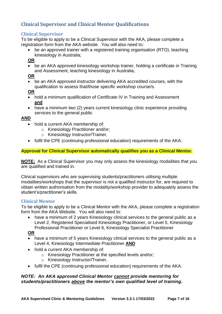## <span id="page-7-0"></span>**Clinical Supervisor and Clinical Mentor Qualifications**

## <span id="page-7-1"></span>**Clinical Supervisor**

To be eligible to apply to be a Clinical Supervisor with the AKA, please complete a registration form from the AKA website. You will also need to:

• be an approved trainer with a registered training organisation (RTO), teaching kinesiology in Australia;

**OR**

• be an AKA approved kinesiology workshop trainer, holding a certificate in Training and Assessment, teaching kinesiology in Australia;

**OR**

• be an AKA approved instructor delivering AKA accredited courses, with the qualification to assess that/those specific workshop course/s.

**OR**

- hold a minimum qualification of Certificate IV in Training and Assessment **and**
- have a minimum two (2) years current kinesiology clinic experience providing services to the general public

#### **AND**

- hold a current AKA membership of:
	- o Kinesiology Practitioner and/or;
		- o Kinesiology Instructor/Trainer,
- fulfil the CPE (continuing professional education) requirements of the AKA.

#### **Approval for Clinical Supervisor automatically qualifies you as a Clinical Mentor.**

**NOTE:** As a Clinical Supervisor you may only assess the kinesiology modalities that you are qualified and trained in.

Clinical supervisors who are supervising students/practitioners utilising multiple modalities/workshops that the supervisor is not a qualified instructor for, are required to obtain written authorisation from the modality/workshop provider to adequately assess the student's/practitioner's skills.

## <span id="page-7-2"></span>**Clinical Mentor**

To be eligible to apply to be a Clinical Mentor with the AKA, please complete a registration form from the AKA Website. You will also need to:

have a minimum of 2 years Kinesiology clinical services to the general public as a Level 2, Registered Specialised Kinesiology Practitioner, or Level 5, Kinesiology Professional Practitioner or Level 6, Kinesiology Specialist Practitioner

**OR**

- have a minimum of 5 years Kinesiology clinical services to the general public as a Level 4, Kinesiology Intermediate Practitioner **AND**
- hold a current AKA membership of:
	- o Kinesiology Practitioner at the specified levels and/or;
	- o Kinesiology Instructor/Trainer,
- fulfil the CPE (continuing professional education) requirements of the AKA.

#### *NOTE: An AKA approved Clinical Mentor cannot provide mentoring for students/practitioners above the mentor's own qualified level of training.*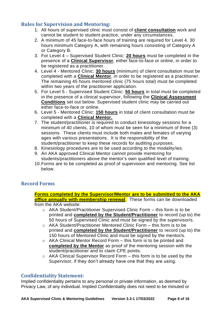## <span id="page-8-0"></span>**Rules for Supervision and Mentoring:**

- 1. All hours of supervised clinic must consist of **client consultation** work and cannot be student to student practice, under any circumstances.
- 2. A minimum of 45 face-to-face hours of training are required for Level 4. 30 hours minimum Category A, with remaining hours consisting of Category A or Category B.
- 3. For Level 4 Supervised Student Clinic: **20 hours** must be completed in the presence of a **Clinical Supervisor**, either face-to-face or online, in order to be registered as a practitioner.
- 4. Level 4 Mentored Clinic: **30 hours** (minimum) of client consultation must be completed with a **Clinical Mentor**, in order to be registered as a practitioner. The remaining 45 hours mentored clinic (75 hours total) must be completed within two years of the practitioner application.
- 5. For Level 5 Supervised Student Clinic: **50 hours** in total must be completed in the presence of a clinical supervisor, following the **Clinical Assessment Conditions** set out below. Supervised student clinic may be carried out either face-to-face or online.
- 6. Level 5 Mentored Clinic: **150 hours** in total of client consultation must be completed with a **Clinical Mentor.**
- 7. The student/practitioner is required to conduct kinesiology sessions for a minimum of 40 clients, 10 of whom must be seen for a minimum of three (3) sessions. These clients must include both males and females of varying ages with various presentations. It is the responsibility of the student/practitioner to keep these records for auditing purposes.
- 8. Kinesiology procedures are to be used according to the modality/ies.
- 9. An AKA approved Clinical Mentor cannot provide mentoring for students/practitioners above the mentor's own qualified level of training.
- 10.Forms are to be completed as proof of supervision and mentoring. See list below.

## <span id="page-8-1"></span>**Record Forms**

**Forms completed by the Supervisor/Mentor are to be submitted to the AKA office annually with membership renewal**. These forms can be downloaded from the AKA website:

- o AKA Student/Practitioner Supervised Clinic Form this form is to be printed and **completed by the Student/Practitioner** to record (up to) the 50 hours of Supervised Clinic and must be signed by the supervisor/s.
- $\circ$  AKA Student/Practitioner Mentored Clinic Form this form is to be printed and **completed by the Student/Practitioner** to record (up to) the 150 hours of Mentored Clinic and must be signed by the mentor/s.
- o AKA Clinical Mentor Record Form this form is to be printed and **completed by the Mentor** as proof of the mentoring session with the student/practitioner and to claim CPE points.
- o AKA Clinical Supervisor Record Form this form is to be used by the Supervisor, if they don't already have one that they are using.

## <span id="page-8-2"></span>**Confidentiality Statement:**

Implied confidentiality pertains to any personal or private information, as deemed by Privacy Law, of any individual. Implied Confidentiality does not need to be minuted or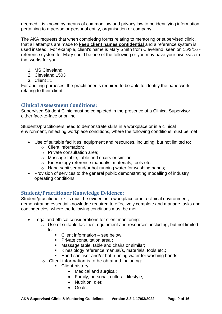deemed it is known by means of common law and privacy law to be identifying information pertaining to a person or personal entity, organisation or company.

The AKA requests that when completing forms relating to mentoring or supervised clinic, that all attempts are made to **keep client names confidential** and a reference system is used instead. For example, client's name is Mary Smith from Cleveland, seen on 15/3/16 reference system for Mary could be one of the following or you may have your own system that works for you:

- 1. MS Cleveland
- 2. Cleveland 1503
- 3. Client #1

For auditing purposes, the practitioner is required to be able to identify the paperwork relating to their client.

## <span id="page-9-0"></span>**Clinical Assessment Conditions:**

Supervised Student Clinic must be completed in the presence of a Clinical Supervisor either face-to-face or online.

Students/practitioners need to demonstrate skills in a workplace or in a clinical environment, reflecting workplace conditions, where the following conditions must be met:

- Use of suitable facilities, equipment and resources, including, but not limited to:
	- o Client information;
	- o Private consultation area;
	- o Massage table, table and chairs or similar;
	- o Kinesiology reference manual/s, materials, tools etc.;
	- o Hand sanitiser and/or hot running water for washing hands;
- Provision of services to the general public demonstrating modelling of industry operating conditions.

## <span id="page-9-1"></span>**Student/Practitioner Knowledge Evidence:**

Student/practitioner skills must be evident in a workplace or in a clinical environment, demonstrating essential knowledge required to effectively complete and manage tasks and contingencies, where the following conditions must be met:

- Legal and ethical considerations for client monitoring:
	- o Use of suitable facilities, equipment and resources, including, but not limited to:
		- Client information see below:
		- Private consultation area :
		- Massage table, table and chairs or similar;
		- Kinesiology reference manual/s, materials, tools etc.;
		- Hand sanitiser and/or hot running water for washing hands;
	- o Client information is to be obtained including:
		- Client history;
			- Medical and surgical;
			- Family, personal, cultural, lifestyle;
			- Nutrition, diet;
			- Goals;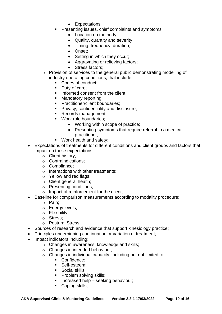- Expectations;
- Presenting issues, chief complaints and symptoms:
	- Location on the body;
	- Quality, quantity and severity;
	- Timing, frequency, duration;
	- Onset;
	- Setting in which they occur;
	- Aggravating or relieving factors;
	- Stress factors:
- o Provision of services to the general public demonstrating modelling of industry operating conditions, that include:
	- Codes of conduct;
	- Duty of care;
	- **•** Informed consent from the client:
	- Mandatory reporting;
	- Practitioner/client boundaries:
	- **Privacy, confidentiality and disclosure:**
	- Records management;
	- Work role boundaries;
		- Working within scope of practice;
		- Presenting symptoms that require referral to a medical practitioner;
	- Work health and safety;
- Expectations of treatments for different conditions and client groups and factors that impact on those expectations:
	- o Client history;
	- o Contraindications;
	- o Compliance;
	- o Interactions with other treatments;
	- o Yellow and red flags;
	- o Client general health;
	- o Presenting conditions;
	- o Impact of reinforcement for the client;
- Baseline for comparison measurements according to modality procedure:
	- o Pain;
	- o Energy levels;
	- o Flexibility;
	- o Stress;
	- o Postural Stress;
- Sources of research and evidence that support kinesiology practice;
- Principles underpinning continuation or variation of treatment;
- Impact indicators including:
	- o Changes in awareness, knowledge and skills;
	- o Changes in intended behaviour;
	- o Changes in individual capacity, including but not limited to:
		- Confidence:
		- Self-esteem:
		- Social skills:
		- **•** Problem solving skills:
		- **E** Increased help seeking behaviour;
		- Coping skills;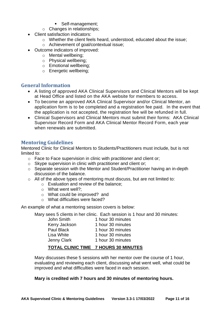- Self-management:
- o Changes in relationships;
- Client satisfaction indicators:
	- o Whether the client feels heard, understood, educated about the issue;
	- o Achievement of goal/contextual issue;
- Outcome indicators of improved:
	- o Mental wellbeing;
	- o Physical wellbeing;
	- o Emotional wellbeing;
	- o Energetic wellbeing;

## <span id="page-11-0"></span>**General Information**

- A listing of approved AKA Clinical Supervisors and Clinical Mentors will be kept at Head Office and listed on the AKA website for members to access.
- To become an approved AKA Clinical Supervisor and/or Clinical Mentor, an application form is to be completed and a registration fee paid. In the event that the application is not accepted, the registration fee will be refunded in full.
- Clinical Supervisors and Clinical Mentors must submit their forms: AKA Clinical Supervisor Record Form and AKA Clinical Mentor Record Form, each year when renewals are submitted.

## <span id="page-11-1"></span>**Mentoring Guidelines**

Mentored Clinic for Clinical Mentors to Students/Practitioners must include, but is not limited to:

- o Face to Face supervision in clinic with practitioner and client or;
- o Skype supervision in clinic with practitioner and client or;
- o Separate session with the Mentor and Student/Practitioner having an in-depth discussion of the balance.
- o All of the above types of mentoring must discuss, but are not limited to:
	- o Evaluation and review of the balance;
	- o What went well?;
	- o What could be improved? and
	- o What difficulties were faced?

An example of what a mentoring session covers is below:

Mary sees 5 clients in her clinic. Each session is 1 hour and 30 minutes:

| John Smith        | 1 hour 30 minutes |
|-------------------|-------------------|
| Kerry Jackson     | 1 hour 30 minutes |
| <b>Paul Black</b> | 1 hour 30 minutes |
| Lisa White        | 1 hour 30 minutes |
| Jenny Clark       | 1 hour 30 minutes |
|                   |                   |

## **TOTAL CLINIC TIME 7 HOURS 30 MINUTES**

Mary discusses these 5 sessions with her mentor over the course of 1 hour, evaluating and reviewing each client, discussing what went well, what could be improved and what difficulties were faced in each session.

## **Mary is credited with 7 hours and 30 minutes of mentoring hours.**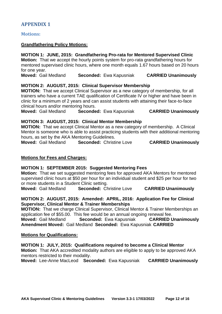## <span id="page-12-0"></span>**APPENDIX 1**

<span id="page-12-1"></span>**Motions:**

#### **Grandfathering Policy Motions:**

#### **MOTION 1: JUNE, 2015: Grandfathering Pro-rata for Mentored Supervised Clinic**

**Motion:** That we accept the hourly points system for pro-rata grandfathering hours for mentored supervised clinic hours, where one month equals 1.67 hours based on 20 hours for one year.

**Moved:** Gail Medland **Seconded:** Ewa Kapusniak **CARRIED Unanimously**

#### **MOTION 2: AUGUST, 2015: Clinical Supervisor Membership**

**MOTION:** That we accept Clinical Supervisor as a new category of membership, for all trainers who have a current TAE qualification of Certificate IV or higher and have been in clinic for a minimum of 2 years and can assist students with attaining their face-to-face clinical hours and/or mentoring hours.

**Moved:** Gail Medland **Seconded:** Ewa Kapusniak **CARRIED Unanimously**

#### **MOTION 3: AUGUST, 2015: Clinical Mentor Membership**

**MOTION:** That we accept Clinical Mentor as a new category of membership. A Clinical Mentor is someone who is able to assist practicing students with their additional mentoring hours, as set by the AKA Mentoring Guidelines.<br>**Moved:** Gail Medland **Seconded:** Christi

**Seconded: Christine Love <b>CARRIED Unanimously** 

#### **Motions for Fees and Charges:**

#### **MOTION 1: SEPTEMBER 2015: Suggested Mentoring Fees**

**Motion:** That we set suggested mentoring fees for approved AKA Mentors for mentored supervised clinic hours at \$50 per hour for an individual student and \$25 per hour for two or more students in a Student Clinic setting.

**Moved:** Gail Medland **Seconded:** Christine Love **CARRIED Unanimously**

#### **MOTION 2: AUGUST, 2015: Amended: APRIL, 2016: Application Fee for Clinical Supervisor, Clinical Mentor & Trainer Memberships**

**MOTION:** That we charge Clinical Supervisor, Clinical Mentor & Trainer Memberships an application fee of \$55.00. This fee would be an annual ongoing renewal fee.

**Moved:** Gail Medland **Seconded:** Ewa Kapusniak **CARRIED Unanimously Amendment Moved:** Gail Medland **Seconded:** Ewa Kapusniak **CARRIED**

#### **Motions for Qualifications:**

#### **MOTION 1: JULY, 2015: Qualifications required to become a Clinical Mentor**

**Motion:** That AKA accredited modality authors are eligible to apply to be approved AKA mentors restricted to their modality.

**Moved:** Lee-Anne MacLeod **Seconded:** Ewa Kapusniak **CARRIED Unanimously**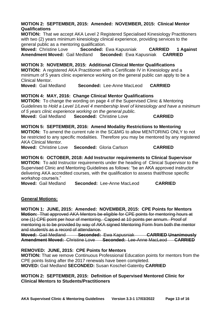#### **MOTION 2: SEPTEMBER, 2015: Amended: NOVEMBER, 2015: Clinical Mentor Qualifications**

**MOTION:** That we accept AKA Level 2 Registered Specialised Kinesiology Practitioners with two (2) years minimum kinesiology clinical experience, providing services to the general public as a mentoring qualification.

**Moved:** Christine Love **Seconded:** Ewa Kapusniak **CARRIED 1 Against Amendment Moved:** Gail Medland **Seconded:** Ewa Kapusniak **CARRIED**

**MOTION 3: NOVEMBER, 2015: Additional Clinical Mentor Qualifications**

**MOTION:** A registered AKA Practitioner with a Certificate IV in Kinesiology and a minimum of 5 years clinic experience working on the general public can apply to be a Clinical Mentor.

**Moved:** Gail Medland **Seconded:** Lee-Anne MacLeod **CARRIED**

#### **MOTION 4: MAY, 2016: Change Clinical Mentor Qualifications**

**MOTION:** To change the wording on page 4 of the Supervised Clinic & Mentoring Guidelines to *Hold a Level 1/Level 4 membership level of kinesiology and have a minimum of 5 years clinic experience working on the general public.* **Moved:** Gail Medland **Seconded:** Christine Love **CARRIED**

#### **MOTION 5: SEPTEMBER, 2016: Amend Modality Restrictions to Mentoring**

**MOTION:** To amend the current rule in the SC&MG to allow MENTORING ONLY to not be restricted to any specific modalities. Therefore you may be mentored by any registered AKA Clinical Mentor.

**Moved:** Christine Love **Seconded:** Gloria Carlson **CARRIED**

**MOTION 6: OCTOBER, 2018: Add Instructor requirements to Clinical Supervisor MOTION:** To add Instructor requirements under the heading of Clinical Supervisor to the Supervised Clinic and Mentoring Guidelines as follows: "be an AKA approved instructor delivering AKA accredited courses, with the qualification to assess that/those specific workshop course/s."

**Moved:** Gail Medland **Seconded:** Lee-Anne MacLeod **CARRIED**

#### **General Motions:**

**MOTION 1: JUNE, 2015: Amended: NOVEMBER, 2015: CPE Points for Mentors Motion:** That approved AKA Mentors be eligible for CPE points for mentoring hours at one (1) CPE point per hour of mentoring. Capped at 10 points per annum. Proof of mentoring is to be provided by way of AKA signed Mentoring Form from both the mentor and student/s as a record of attendance.

**Moved:** Gail Medland **Seconded:** Ewa Kapusniak **CARRIED Unanimously Amendment Moved:** Christine Love **Seconded:** Lee-Anne MacLeod **CARRIED**

**REMOVED: JUNE, 2015: CPE Points for Mentors**

**MOTION:** That we remove Continuous Professional Education points for mentors from the CPE points listing after the 2017 renewals have been completed. **MOVED:** Gail Medland **SECONDED:** Susan Koschel-Gatenby **CARRIED**

#### **MOTION 2: SEPTEMBER, 2015: Definition of Supervised Mentored Clinic for Clinical Mentors to Students/Practitioners**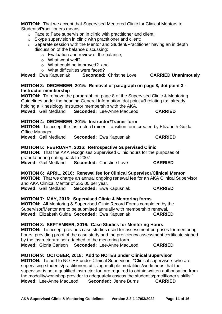**MOTION:** That we accept that Supervised Mentored Clinic for Clinical Mentors to Students/Practitioners means:

- o Face to Face supervision in clinic with practitioner and client;
- o Skype supervision in clinic with practitioner and client;
- o Separate session with the Mentor and Student/Practitioner having an in depth discussion of the balance discussing:
	- o Evaluation and review of the balance;
	- $\circ$  What went well?
	- o What could be improved? and
	- o What difficulties were faced?

**Moved:** Ewa Kapusniak **Seconded:** Christine Love **CARRIED Unanimously**

#### **MOTION 3: DECEMBER, 2015: Removal of paragraph on page 8, dot point 3 – Instructor membership**

**MOTION:** To remove the paragraph on page 8 of the Supervised Clinic & Mentoring Guidelines under the heading General Information, dot point #3 relating to: already holding a Kinesiology Instructor membership with the AKA.

**Moved:** Gail Medland **Seconded:** Lee-Anne MacLeod **CARRIED**

#### **MOTION 4: DECEMBER, 2015: Instructor/Trainer form**

**MOTION:** To accept the Instructor/Trainer Transition form created by Elizabeth Guida, Office Manager.

**Moved:** Gail Medland **Seconded:** Ewa Kapusniak **CARRIED**

#### **MOTION 5: FEBRUARY, 2016: Retrospective Supervised Clinic**

**MOTION:** That the AKA recognises Supervised Clinic hours for the purposes of grandfathering dating back to 2007.

**Moved:** Gail Medland **Seconded:** Christine Love **CARRIED**

## **MOTION 6: APRIL, 2016: Renewal fee for Clinical Supervisor/Clinical Mentor**

**MOTION:** That we charge an annual ongoing renewal fee for an AKA Clinical Supervisor and AKA Clinical Mentor of \$55.00 per year.

**Moved:** Gail Medland **Seconded:** Ewa Kapusniak **CARRIED**

#### **MOTION 7: MAY, 2016: Supervised Clinic & Mentoring forms**

**MOTION:** All Mentoring & Supervised Clinic Record Forms completed by the Supervisor/Mentor are to be submitted annually with membership renewal. **Moved:** Elizabeth Guida **Seconded:** Ewa Kapusniak **CARRIED**

#### **MOTION 8: SEPTEMBER, 2016: Case Studies for Mentoring Hours**

**MOTION:** To accept previous case studies used for assessment purposes for mentoring hours, providing proof of the case study and the proficiency assessment certificate signed by the instructor/trainer attached to the mentoring form. **Moved:** Gloria Carlson **Seconded:** Lee-Anne MacLeod **CARRIED**

#### **MOTION 9: OCTOBER, 2018: Add to NOTES under Clinical Supervisor**

**MOTION:** To add to NOTES under Clinical Supervisor: "Clinical supervisors who are supervising students/practitioners utilising multiple modalities/workshops that the supervisor is not a qualified instructor for, are required to obtain written authorisation from the modality/workshop provider to adequately assess the student's/practitioner's skills." **Moved:** Lee-Anne MacLeod **Seconded:** Jenne Burns **CARRIED**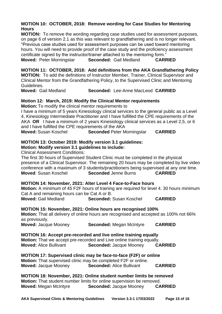#### **MOTION 10: OCTOBER, 2018: Remove wording for Case Studies for Mentoring Hours**

**MOTION:** To remove the wording regarding case studies used for assessment purposes, on page 6 of version 2.1 as this was relevant to grandfathering and is no longer relevant. "Previous case studies used for assessment purposes can be used toward mentoring hours. You will need to provide proof of the case study and the proficiency assessment certificate signed by the instructor/trainer attached to the mentoring form." **Moved:** Peter Morningstar **Seconded:** Gail Medland **CARRIED**

**MOTION 11: OCTOBER, 2018: Add definitions from the AKA Grandfathering Policy MOTION:** To add the definitions of Instructor Member, Trainer, Clinical Supervisor and Clinical Mentor from the Grandfathering Policy, to the Supervised Clinic and Mentoring Guidelines.

**Moved:** Gail Medland **Seconded:** Lee-Anne MacLeod **CARRIED**

## **Motion 12: March, 2019: Modify the Clinical Mentor requirements**

**Motion:** To modify the clinical mentor requirements to

I have a minimum of 5 years Kinesiology clinical services to the general public as a Level 4, Kinesiology Intermediate Practitioner and I have fulfilled the CPE requirements of the AKA **OR** I have a minimum of 2 years Kinesiology clinical services as a Level 2,5, or 6 and I have fulfilled the CPE requirements of the AKA

**Moved:** Susan Koschel **Seconded** Peter Morningstar **CARRIED**

## **MOTION 13: October 2019: Modify version 3.1 guidelines:**

## **Motion: Modify version 3.1 guidelines to include:**

Clinical Assessment Conditions:

The first 30 hours of Supervised Student Clinic must be completed in the physical presence of a Clinical Supervisor. The remaining 20 hours may be completed by live video conference with a maximum of 3 students/practitioners being supervised at any one time. **Moved**: Susan Koschel **Seconded** Jenne Burns **CARRIED**

## **MOTION 14: November, 2021: Alter Level 4 Face-to-Face hours**

**Motion:** A minimum of 45 F2F hours of training are required for level 4. 30 hours minimum Cat A and remaining hours can be Cat A or B.

**Moved:** Gail Medland **Seconded:** Susan Koschel **CARRIED**

## **MOTION 15: November, 2021: Online hours are recognised 100%**

**Motion:** That all delivery of online hours are recognised and accepted as 100% not 66% as previously.

**Moved:** Jacque Mooney **Seconded:** Megan McIntyre **CARRIED**

**MOTION 16: Accept pre-recorded and live online training equally**

**Motion:** That we accept pre-recorded and Live online training equally. **Moved:** Alice Bullivant **Seconded:** Jacque Mooney **CARRIED**

**MOTION 17: Supervised clinic may be face-to-face (F2F) or online Motion:** That supervised clinic may be completed F2F or online. **Moved:** Jacque Mooney **Seconded:** Alice Bullivant **CARRIED**

**MOTION 18: November, 2021: Online student number limits be removed Motion:** That student number limits for online supervision be removed. **Moved:** Megan McIntyre **Seconded:** Jacque Mooney **CARRIED**